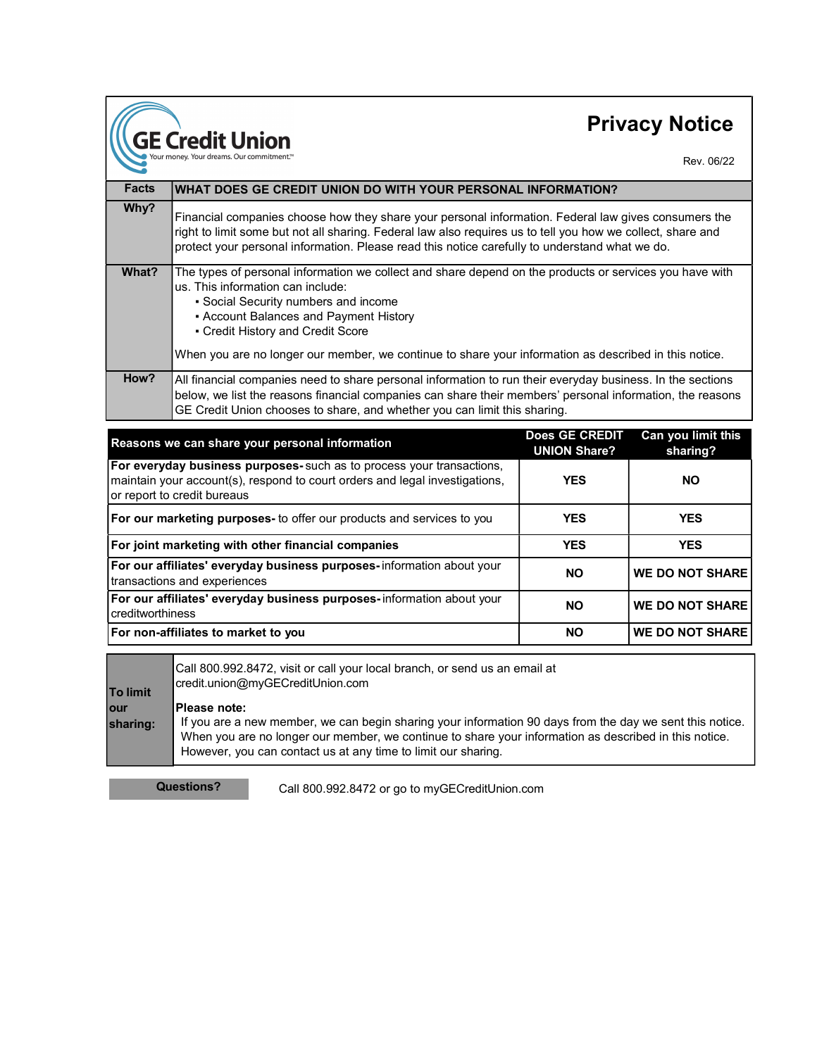## Privacy Notice

Rev. 06/22

| <b>Facts</b> | WHAT DOES GE CREDIT UNION DO WITH YOUR PERSONAL INFORMATION?                                                                                                                                                                                                                                                                                                                 |
|--------------|------------------------------------------------------------------------------------------------------------------------------------------------------------------------------------------------------------------------------------------------------------------------------------------------------------------------------------------------------------------------------|
| Why?         | Financial companies choose how they share your personal information. Federal law gives consumers the<br>right to limit some but not all sharing. Federal law also requires us to tell you how we collect, share and<br>protect your personal information. Please read this notice carefully to understand what we do.                                                        |
| What?        | The types of personal information we collect and share depend on the products or services you have with<br>us. This information can include:<br>• Social Security numbers and income<br>• Account Balances and Payment History<br>• Credit History and Credit Score<br>When you are no longer our member, we continue to share your information as described in this notice. |
| How?         | All financial companies need to share personal information to run their everyday business. In the sections<br>below, we list the reasons financial companies can share their members' personal information, the reasons<br>GE Credit Union chooses to share, and whether you can limit this sharing.                                                                         |

| Reasons we can share your personal information                                                                                                                                     | Does GE CREDIT<br><b>UNION Share?</b> | Can you limit this<br>sharing? |
|------------------------------------------------------------------------------------------------------------------------------------------------------------------------------------|---------------------------------------|--------------------------------|
| For everyday business purposes-such as to process your transactions,<br>maintain your account(s), respond to court orders and legal investigations,<br>or report to credit bureaus | <b>YES</b>                            | <b>NO</b>                      |
| For our marketing purposes- to offer our products and services to you                                                                                                              | <b>YES</b>                            | <b>YES</b>                     |
| For joint marketing with other financial companies                                                                                                                                 | <b>YES</b>                            | <b>YES</b>                     |
| For our affiliates' everyday business purposes-information about your<br>transactions and experiences                                                                              | <b>NO</b>                             | <b>WE DO NOT SHARE</b>         |
| For our affiliates' everyday business purposes-information about your<br>l creditworthiness                                                                                        | <b>NO</b>                             | <b>WE DO NOT SHARE</b>         |
| For non-affiliates to market to you                                                                                                                                                | <b>NO</b>                             | <b>WE DO NOT SHARE</b>         |

| <b>To limit</b>  | Call 800.992.8472, visit or call your local branch, or send us an email at<br>credit.union@myGECreditUnion.com                                                                                                                                                                                             |  |
|------------------|------------------------------------------------------------------------------------------------------------------------------------------------------------------------------------------------------------------------------------------------------------------------------------------------------------|--|
| lour<br>sharing: | <b>IPlease note:</b><br>If you are a new member, we can begin sharing your information 90 days from the day we sent this notice.<br>When you are no longer our member, we continue to share your information as described in this notice.<br>However, you can contact us at any time to limit our sharing. |  |

GE Credit Union

Questions? Call 800.992.8472 or go to myGECreditUnion.com